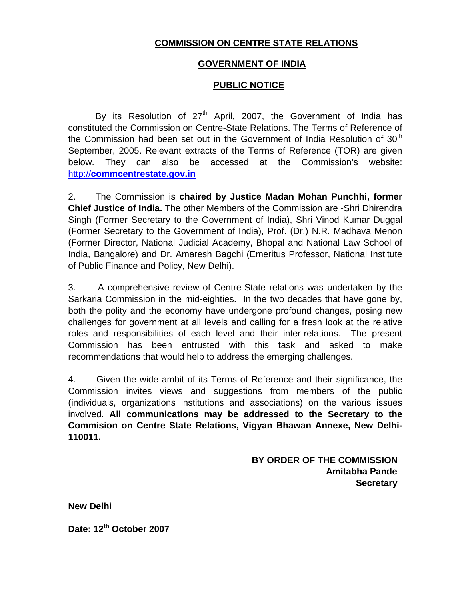# **COMMISSION ON CENTRE STATE RELATIONS**

## **GOVERNMENT OF INDIA**

## **PUBLIC NOTICE**

By its Resolution of  $27<sup>th</sup>$  April, 2007, the Government of India has constituted the Commission on Centre-State Relations. The Terms of Reference of the Commission had been set out in the Government of India Resolution of  $30<sup>th</sup>$ September, 2005. Relevant extracts of the Terms of Reference (TOR) are given below. They can also be accessed at the Commission's website: http://**commcentrestate.gov.in** 

2. The Commission is **chaired by Justice Madan Mohan Punchhi, former Chief Justice of India.** The other Members of the Commission are -Shri Dhirendra Singh (Former Secretary to the Government of India), Shri Vinod Kumar Duggal (Former Secretary to the Government of India), Prof. (Dr.) N.R. Madhava Menon (Former Director, National Judicial Academy, Bhopal and National Law School of India, Bangalore) and Dr. Amaresh Bagchi (Emeritus Professor, National Institute of Public Finance and Policy, New Delhi).

3. A comprehensive review of Centre-State relations was undertaken by the Sarkaria Commission in the mid-eighties. In the two decades that have gone by, both the polity and the economy have undergone profound changes, posing new challenges for government at all levels and calling for a fresh look at the relative roles and responsibilities of each level and their inter-relations. The present Commission has been entrusted with this task and asked to make recommendations that would help to address the emerging challenges.

4. Given the wide ambit of its Terms of Reference and their significance, the Commission invites views and suggestions from members of the public (individuals, organizations institutions and associations) on the various issues involved. **All communications may be addressed to the Secretary to the Commision on Centre State Relations, Vigyan Bhawan Annexe, New Delhi-110011.**

> **BY ORDER OF THE COMMISSION Amitabha Pande Secretary**

**New Delhi** 

Date: 12<sup>th</sup> October 2007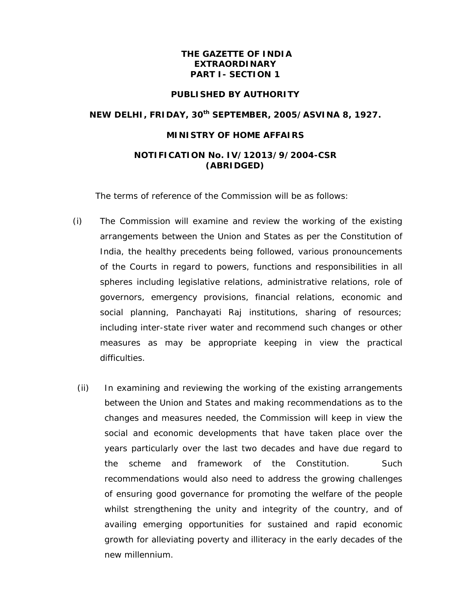## **THE GAZETTE OF INDIA EXTRAORDINARY PART I- SECTION 1**

#### **PUBLISHED BY AUTHORITY**

### **NEW DELHI, FRIDAY, 30th SEPTEMBER, 2005/ASVINA 8, 1927.**

### **MINISTRY OF HOME AFFAIRS**

## **NOTIFICATION No. IV/12013/9/2004-CSR (ABRIDGED)**

The terms of reference of the Commission will be as follows:

- (i) The Commission will examine and review the working of the existing arrangements between the Union and States as per the Constitution of India, the healthy precedents being followed, various pronouncements of the Courts in regard to powers, functions and responsibilities in all spheres including legislative relations, administrative relations, role of governors, emergency provisions, financial relations, economic and social planning, Panchayati Raj institutions, sharing of resources; including inter-state river water and recommend such changes or other measures as may be appropriate keeping in view the practical difficulties.
- (ii) In examining and reviewing the working of the existing arrangements between the Union and States and making recommendations as to the changes and measures needed, the Commission will keep in view the social and economic developments that have taken place over the years particularly over the last two decades and have due regard to the scheme and framework of the Constitution. Such recommendations would also need to address the growing challenges of ensuring good governance for promoting the welfare of the people whilst strengthening the unity and integrity of the country, and of availing emerging opportunities for sustained and rapid economic growth for alleviating poverty and illiteracy in the early decades of the new millennium.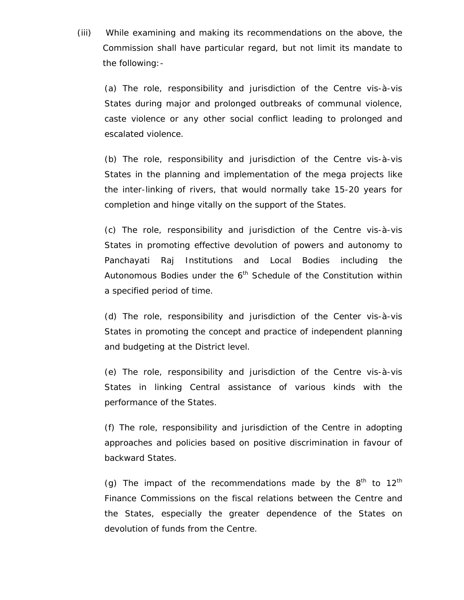(iii) While examining and making its recommendations on the above, the Commission shall have particular regard, but not limit its mandate to the following:-

(a) The role, responsibility and jurisdiction of the Centre vis-à-vis States during major and prolonged outbreaks of communal violence, caste violence or any other social conflict leading to prolonged and escalated violence.

(b) The role, responsibility and jurisdiction of the Centre vis-à-vis States in the planning and implementation of the mega projects like the inter-linking of rivers, that would normally take 15-20 years for completion and hinge vitally on the support of the States.

(c) The role, responsibility and jurisdiction of the Centre vis-à-vis States in promoting effective devolution of powers and autonomy to Panchayati Raj Institutions and Local Bodies including the Autonomous Bodies under the  $6<sup>th</sup>$  Schedule of the Constitution within a specified period of time.

(d) The role, responsibility and jurisdiction of the Center vis-à-vis States in promoting the concept and practice of independent planning and budgeting at the District level.

(e) The role, responsibility and jurisdiction of the Centre vis-à-vis States in linking Central assistance of various kinds with the performance of the States.

(f) The role, responsibility and jurisdiction of the Centre in adopting approaches and policies based on positive discrimination in favour of backward States.

(g) The impact of the recommendations made by the  $8<sup>th</sup>$  to  $12<sup>th</sup>$ Finance Commissions on the fiscal relations between the Centre and the States, especially the greater dependence of the States on devolution of funds from the Centre.